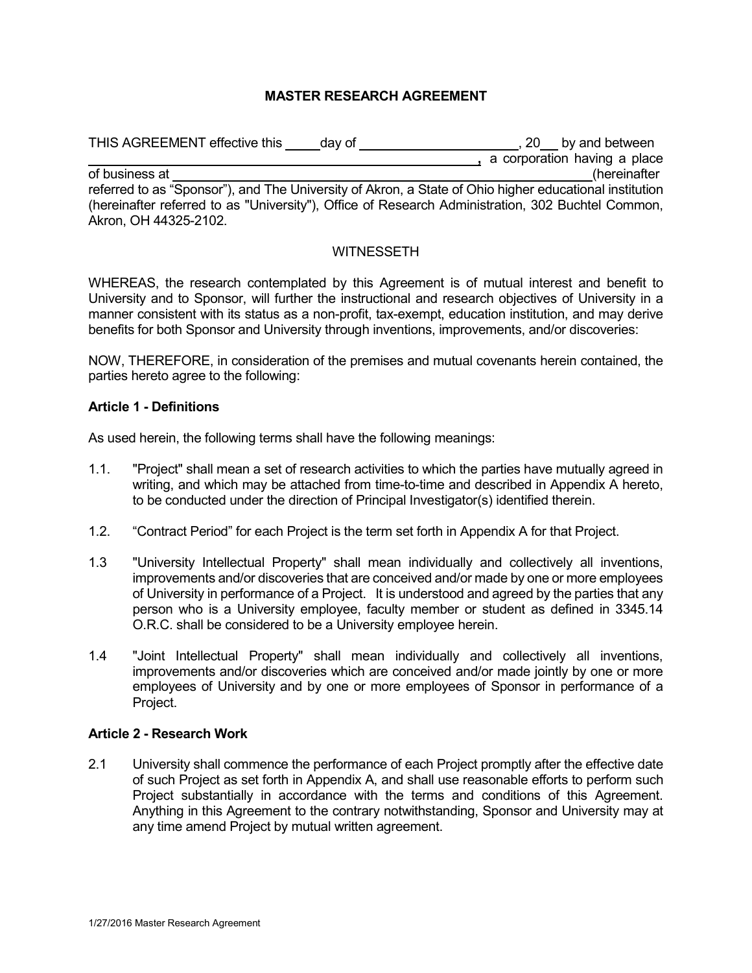# **MASTER RESEARCH AGREEMENT**

| THIS AGREEMENT effective this<br>day of                                                                | $, 20$ by and between        |
|--------------------------------------------------------------------------------------------------------|------------------------------|
|                                                                                                        | a corporation having a place |
| of business at                                                                                         | (hereinafter                 |
| referred to as "Sponsor"), and The University of Akron, a State of Ohio higher educational institution |                              |
| (hereinafter referred to as "University"), Office of Research Administration, 302 Buchtel Common,      |                              |
| Akron, OH 44325-2102.                                                                                  |                              |

#### **WITNESSETH**

WHEREAS, the research contemplated by this Agreement is of mutual interest and benefit to University and to Sponsor, will further the instructional and research objectives of University in a manner consistent with its status as a non-profit, tax-exempt, education institution, and may derive benefits for both Sponsor and University through inventions, improvements, and/or discoveries:

NOW, THEREFORE, in consideration of the premises and mutual covenants herein contained, the parties hereto agree to the following:

#### **Article 1 - Definitions**

As used herein, the following terms shall have the following meanings:

- 1.1. "Project" shall mean a set of research activities to which the parties have mutually agreed in writing, and which may be attached from time-to-time and described in Appendix A hereto, to be conducted under the direction of Principal Investigator(s) identified therein.
- 1.2. "Contract Period" for each Project is the term set forth in Appendix A for that Project.
- 1.3 "University Intellectual Property" shall mean individually and collectively all inventions, improvements and/or discoveries that are conceived and/or made by one or more employees of University in performance of a Project. It is understood and agreed by the parties that any person who is a University employee, faculty member or student as defined in 3345.14 O.R.C. shall be considered to be a University employee herein.
- 1.4 "Joint Intellectual Property" shall mean individually and collectively all inventions, improvements and/or discoveries which are conceived and/or made jointly by one or more employees of University and by one or more employees of Sponsor in performance of a Project.

#### **Article 2 - Research Work**

2.1 University shall commence the performance of each Project promptly after the effective date of such Project as set forth in Appendix A, and shall use reasonable efforts to perform such Project substantially in accordance with the terms and conditions of this Agreement. Anything in this Agreement to the contrary notwithstanding, Sponsor and University may at any time amend Project by mutual written agreement.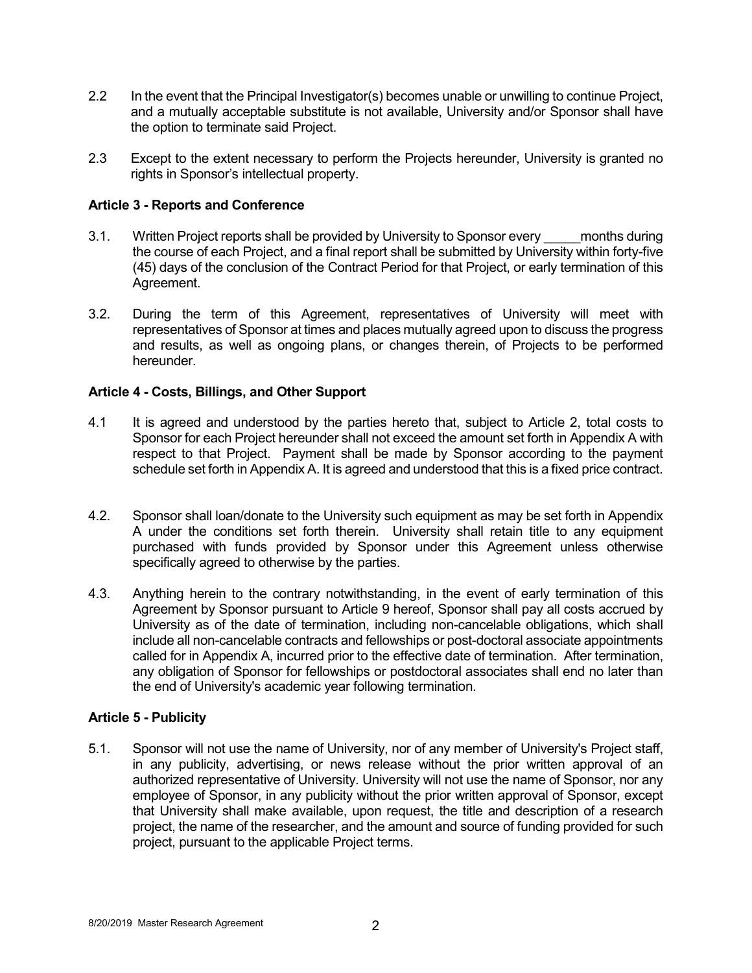- 2.2 In the event that the Principal Investigator(s) becomes unable or unwilling to continue Project, and a mutually acceptable substitute is not available, University and/or Sponsor shall have the option to terminate said Project.
- 2.3 Except to the extent necessary to perform the Projects hereunder, University is granted no rights in Sponsor's intellectual property.

# **Article 3 - Reports and Conference**

- 3.1. Written Project reports shall be provided by University to Sponsor every months during the course of each Project, and a final report shall be submitted by University within forty-five (45) days of the conclusion of the Contract Period for that Project, or early termination of this Agreement.
- 3.2. During the term of this Agreement, representatives of University will meet with representatives of Sponsor at times and places mutually agreed upon to discuss the progress and results, as well as ongoing plans, or changes therein, of Projects to be performed hereunder.

# **Article 4 - Costs, Billings, and Other Support**

- 4.1 It is agreed and understood by the parties hereto that, subject to Article 2, total costs to Sponsor for each Project hereunder shall not exceed the amount set forth in Appendix A with respect to that Project. Payment shall be made by Sponsor according to the payment schedule set forth in Appendix A. It is agreed and understood that this is a fixed price contract.
- 4.2. Sponsor shall loan/donate to the University such equipment as may be set forth in Appendix A under the conditions set forth therein. University shall retain title to any equipment purchased with funds provided by Sponsor under this Agreement unless otherwise specifically agreed to otherwise by the parties.
- 4.3. Anything herein to the contrary notwithstanding, in the event of early termination of this Agreement by Sponsor pursuant to Article 9 hereof, Sponsor shall pay all costs accrued by University as of the date of termination, including non-cancelable obligations, which shall include all non-cancelable contracts and fellowships or post-doctoral associate appointments called for in Appendix A, incurred prior to the effective date of termination. After termination, any obligation of Sponsor for fellowships or postdoctoral associates shall end no later than the end of University's academic year following termination.

# **Article 5 - Publicity**

5.1. Sponsor will not use the name of University, nor of any member of University's Project staff, in any publicity, advertising, or news release without the prior written approval of an authorized representative of University. University will not use the name of Sponsor, nor any employee of Sponsor, in any publicity without the prior written approval of Sponsor, except that University shall make available, upon request, the title and description of a research project, the name of the researcher, and the amount and source of funding provided for such project, pursuant to the applicable Project terms.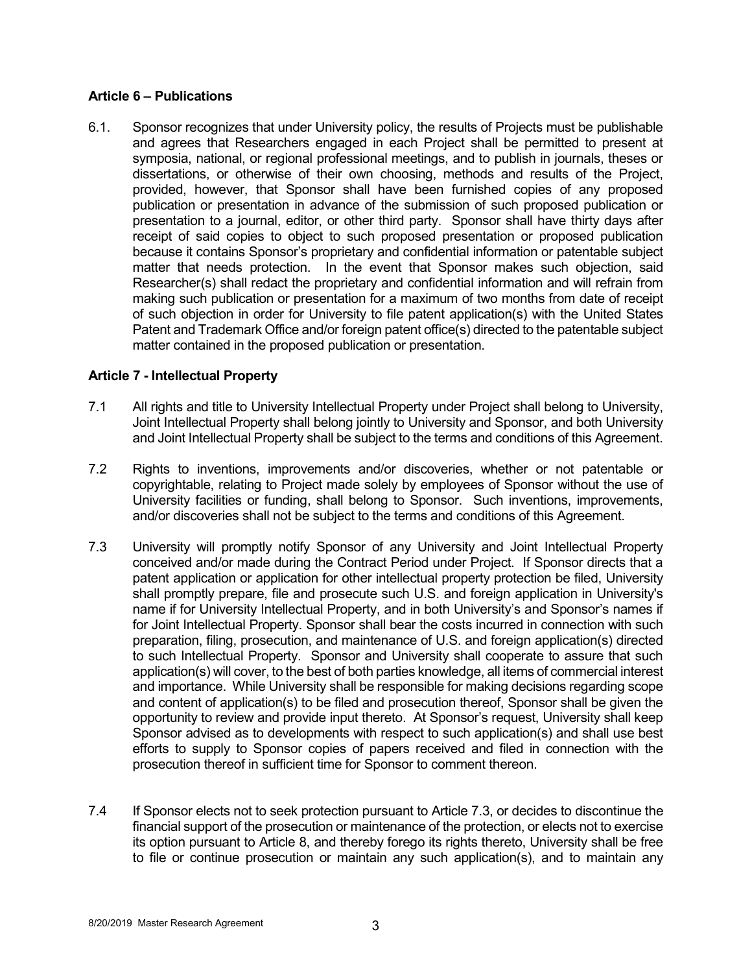### **Article 6 – Publications**

6.1. Sponsor recognizes that under University policy, the results of Projects must be publishable and agrees that Researchers engaged in each Project shall be permitted to present at symposia, national, or regional professional meetings, and to publish in journals, theses or dissertations, or otherwise of their own choosing, methods and results of the Project, provided, however, that Sponsor shall have been furnished copies of any proposed publication or presentation in advance of the submission of such proposed publication or presentation to a journal, editor, or other third party. Sponsor shall have thirty days after receipt of said copies to object to such proposed presentation or proposed publication because it contains Sponsor's proprietary and confidential information or patentable subject matter that needs protection. In the event that Sponsor makes such objection, said Researcher(s) shall redact the proprietary and confidential information and will refrain from making such publication or presentation for a maximum of two months from date of receipt of such objection in order for University to file patent application(s) with the United States Patent and Trademark Office and/or foreign patent office(s) directed to the patentable subject matter contained in the proposed publication or presentation.

# **Article 7 - Intellectual Property**

- 7.1 All rights and title to University Intellectual Property under Project shall belong to University, Joint Intellectual Property shall belong jointly to University and Sponsor, and both University and Joint Intellectual Property shall be subject to the terms and conditions of this Agreement.
- 7.2 Rights to inventions, improvements and/or discoveries, whether or not patentable or copyrightable, relating to Project made solely by employees of Sponsor without the use of University facilities or funding, shall belong to Sponsor. Such inventions, improvements, and/or discoveries shall not be subject to the terms and conditions of this Agreement.
- 7.3 University will promptly notify Sponsor of any University and Joint Intellectual Property conceived and/or made during the Contract Period under Project. If Sponsor directs that a patent application or application for other intellectual property protection be filed, University shall promptly prepare, file and prosecute such U.S. and foreign application in University's name if for University Intellectual Property, and in both University's and Sponsor's names if for Joint Intellectual Property. Sponsor shall bear the costs incurred in connection with such preparation, filing, prosecution, and maintenance of U.S. and foreign application(s) directed to such Intellectual Property. Sponsor and University shall cooperate to assure that such application(s) will cover, to the best of both parties knowledge, all items of commercial interest and importance. While University shall be responsible for making decisions regarding scope and content of application(s) to be filed and prosecution thereof, Sponsor shall be given the opportunity to review and provide input thereto. At Sponsor's request, University shall keep Sponsor advised as to developments with respect to such application(s) and shall use best efforts to supply to Sponsor copies of papers received and filed in connection with the prosecution thereof in sufficient time for Sponsor to comment thereon.
- 7.4 If Sponsor elects not to seek protection pursuant to Article 7.3, or decides to discontinue the financial support of the prosecution or maintenance of the protection, or elects not to exercise its option pursuant to Article 8, and thereby forego its rights thereto, University shall be free to file or continue prosecution or maintain any such application(s), and to maintain any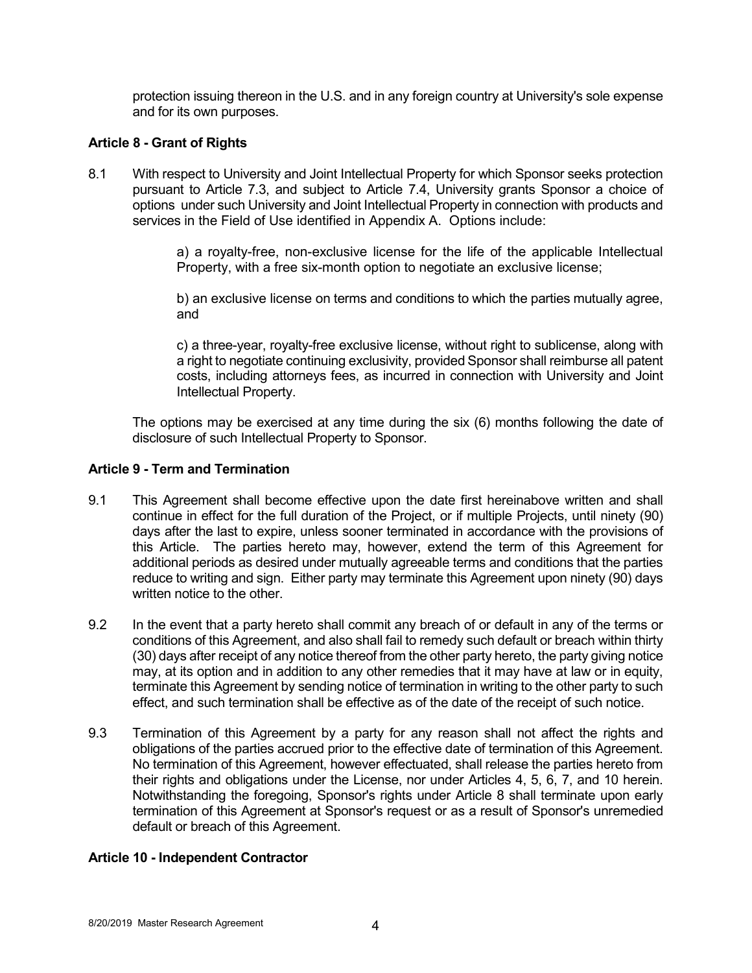protection issuing thereon in the U.S. and in any foreign country at University's sole expense and for its own purposes.

# **Article 8 - Grant of Rights**

8.1 With respect to University and Joint Intellectual Property for which Sponsor seeks protection pursuant to Article 7.3, and subject to Article 7.4, University grants Sponsor a choice of options under such University and Joint Intellectual Property in connection with products and services in the Field of Use identified in Appendix A. Options include:

> a) a royalty-free, non-exclusive license for the life of the applicable Intellectual Property, with a free six-month option to negotiate an exclusive license;

> b) an exclusive license on terms and conditions to which the parties mutually agree, and

> c) a three-year, royalty-free exclusive license, without right to sublicense, along with a right to negotiate continuing exclusivity, provided Sponsor shall reimburse all patent costs, including attorneys fees, as incurred in connection with University and Joint Intellectual Property.

The options may be exercised at any time during the six (6) months following the date of disclosure of such Intellectual Property to Sponsor.

#### **Article 9 - Term and Termination**

- 9.1 This Agreement shall become effective upon the date first hereinabove written and shall continue in effect for the full duration of the Project, or if multiple Projects, until ninety (90) days after the last to expire, unless sooner terminated in accordance with the provisions of this Article. The parties hereto may, however, extend the term of this Agreement for additional periods as desired under mutually agreeable terms and conditions that the parties reduce to writing and sign. Either party may terminate this Agreement upon ninety (90) days written notice to the other.
- 9.2 In the event that a party hereto shall commit any breach of or default in any of the terms or conditions of this Agreement, and also shall fail to remedy such default or breach within thirty (30) days after receipt of any notice thereof from the other party hereto, the party giving notice may, at its option and in addition to any other remedies that it may have at law or in equity, terminate this Agreement by sending notice of termination in writing to the other party to such effect, and such termination shall be effective as of the date of the receipt of such notice.
- 9.3 Termination of this Agreement by a party for any reason shall not affect the rights and obligations of the parties accrued prior to the effective date of termination of this Agreement. No termination of this Agreement, however effectuated, shall release the parties hereto from their rights and obligations under the License, nor under Articles 4, 5, 6, 7, and 10 herein. Notwithstanding the foregoing, Sponsor's rights under Article 8 shall terminate upon early termination of this Agreement at Sponsor's request or as a result of Sponsor's unremedied default or breach of this Agreement.

#### **Article 10 - Independent Contractor**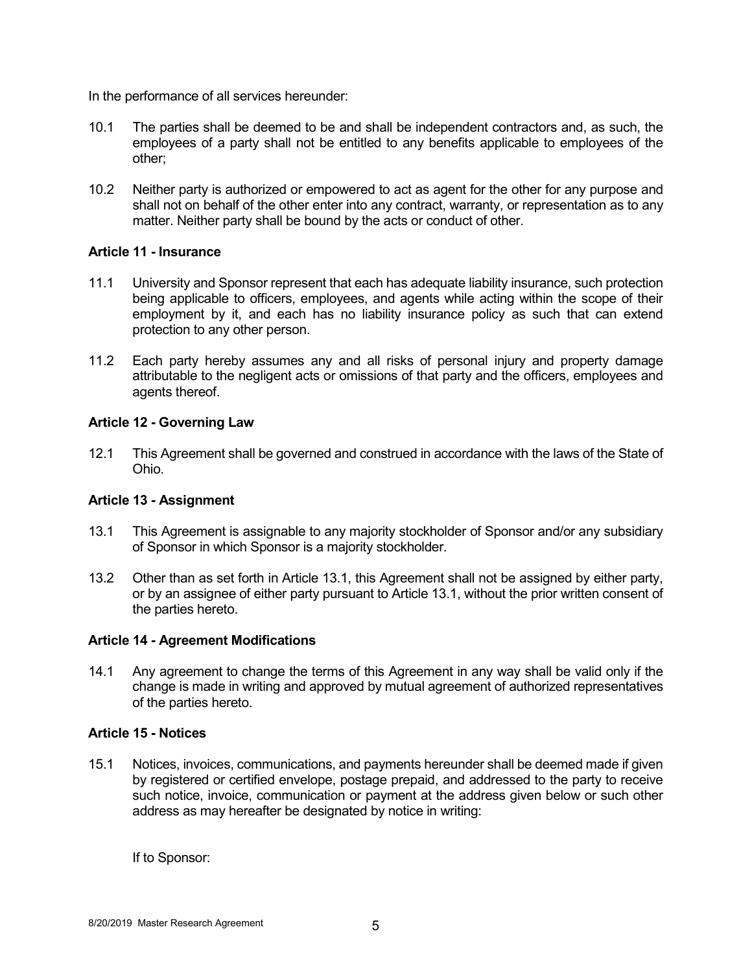In the performance of all services hereunder:

- 10.1 The parties shall be deemed to be and shall be independent contractors and, as such, the employees of a party shall not be entitled to any benefits applicable to employees of the other;
- 10.2 Neither party is authorized or empowered to act as agent for the other for any purpose and shall not on behalf of the other enter into any contract, warranty, or representation as to any matter. Neither party shall be bound by the acts or conduct of other.

# **Article 11 - Insurance**

- 11.1 University and Sponsor represent that each has adequate liability insurance, such protection being applicable to officers, employees, and agents while acting within the scope of their employment by it, and each has no liability insurance policy as such that can extend protection to any other person.
- 11.2 Each party hereby assumes any and all risks of personal injury and property damage attributable to the negligent acts or omissions of that party and the officers, employees and agents thereof.

# **Article 12 - Governing Law**

12.1 This Agreement shall be governed and construed in accordance with the laws of the State of Ohio.

# **Article 13 - Assignment**

- 13.1 This Agreement is assignable to any majority stockholder of Sponsor and/or any subsidiary of Sponsor in which Sponsor is a majority stockholder.
- 13.2 Other than as set forth in Article 13.1, this Agreement shall not be assigned by either party, or by an assignee of either party pursuant to Article 13.1, without the prior written consent of the parties hereto.

#### **Article 14 - Agreement Modifications**

14.1 Any agreement to change the terms of this Agreement in any way shall be valid only if the change is made in writing and approved by mutual agreement of authorized representatives of the parties hereto.

#### **Article 15 - Notices**

15.1 Notices, invoices, communications, and payments hereunder shall be deemed made if given by registered or certified envelope, postage prepaid, and addressed to the party to receive such notice, invoice, communication or payment at the address given below or such other address as may hereafter be designated by notice in writing:

If to Sponsor: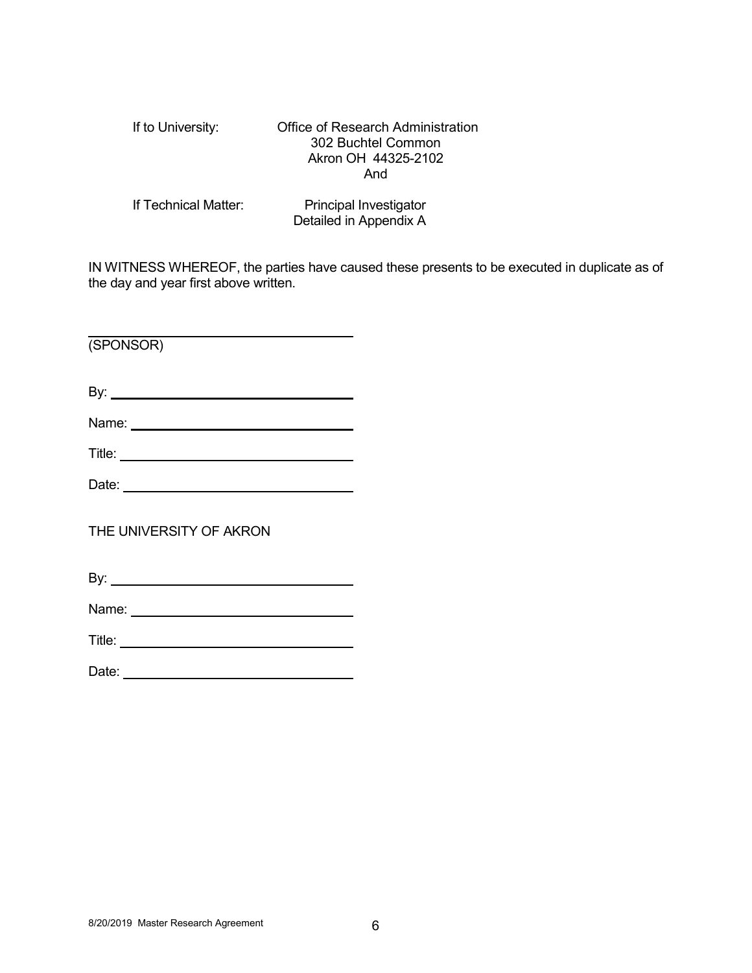| If to University:    | <b>Office of Research Administration</b><br>302 Buchtel Common<br>Akron OH 44325-2102<br>And |
|----------------------|----------------------------------------------------------------------------------------------|
| If Technical Matter: | Principal Investigator<br>Detailed in Appendix A                                             |

IN WITNESS WHEREOF, the parties have caused these presents to be executed in duplicate as of the day and year first above written.

(SPONSOR)

By:

Name: <u>with the contract of the contract of the contract of the contract of the contract of the contract of the contract of the contract of the contract of the contract of the contract of the contract of the contract of th</u>

Title:

Date:

THE UNIVERSITY OF AKRON

By:

Name:

Title: <u>www.community.community.community.com</u>

Date: